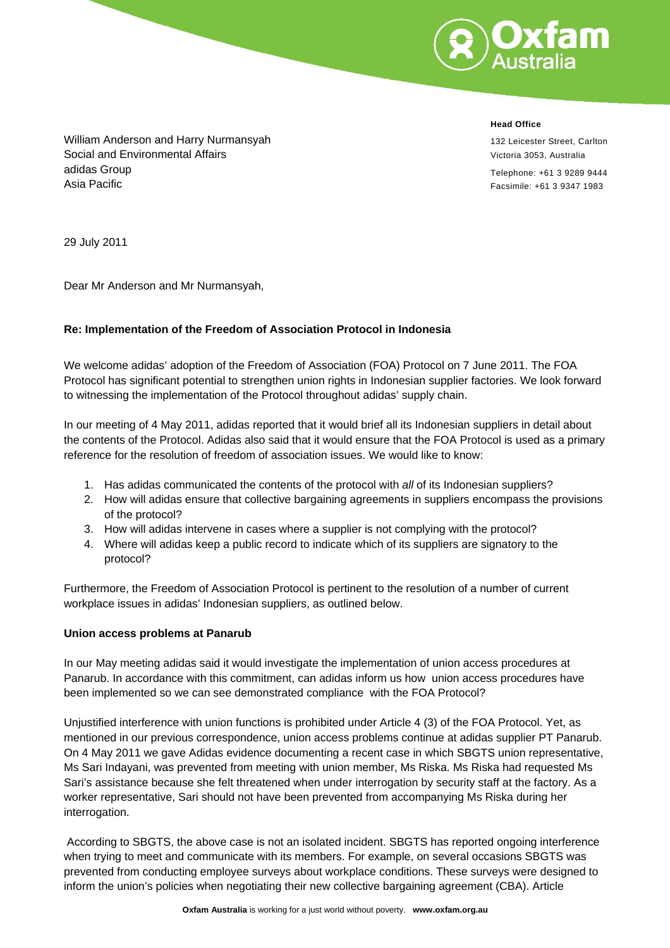

**Head Office**

132 Leicester Street, Carlton Victoria 3053, Australia

Telephone: +61 3 9289 9444 Facsimile: +61 3 9347 1983

William Anderson and Harry Nurmansyah Social and Environmental Affairs adidas Group Asia Pacific

29 July 2011

Dear Mr Anderson and Mr Nurmansyah,

## **Re: Implementation of the Freedom of Association Protocol in Indonesia**

We welcome adidas' adoption of the Freedom of Association (FOA) Protocol on 7 June 2011. The FOA Protocol has significant potential to strengthen union rights in Indonesian supplier factories. We look forward to witnessing the implementation of the Protocol throughout adidas' supply chain.

In our meeting of 4 May 2011, adidas reported that it would brief all its Indonesian suppliers in detail about the contents of the Protocol. Adidas also said that it would ensure that the FOA Protocol is used as a primary reference for the resolution of freedom of association issues. We would like to know:

- 1. Has adidas communicated the contents of the protocol with *all* of its Indonesian suppliers?
- 2. How will adidas ensure that collective bargaining agreements in suppliers encompass the provisions of the protocol?
- 3. How will adidas intervene in cases where a supplier is not complying with the protocol?
- 4. Where will adidas keep a public record to indicate which of its suppliers are signatory to the protocol?

Furthermore, the Freedom of Association Protocol is pertinent to the resolution of a number of current workplace issues in adidas' Indonesian suppliers, as outlined below.

#### **Union access problems at Panarub**

In our May meeting adidas said it would investigate the implementation of union access procedures at Panarub. In accordance with this commitment, can adidas inform us how union access procedures have been implemented so we can see demonstrated compliance with the FOA Protocol?

Unjustified interference with union functions is prohibited under Article 4 (3) of the FOA Protocol. Yet, as mentioned in our previous correspondence, union access problems continue at adidas supplier PT Panarub. On 4 May 2011 we gave Adidas evidence documenting a recent case in which SBGTS union representative, Ms Sari Indayani, was prevented from meeting with union member, Ms Riska. Ms Riska had requested Ms Sari's assistance because she felt threatened when under interrogation by security staff at the factory. As a worker representative, Sari should not have been prevented from accompanying Ms Riska during her interrogation.

 According to SBGTS, the above case is not an isolated incident. SBGTS has reported ongoing interference when trying to meet and communicate with its members. For example, on several occasions SBGTS was prevented from conducting employee surveys about workplace conditions. These surveys were designed to inform the union's policies when negotiating their new collective bargaining agreement (CBA). Article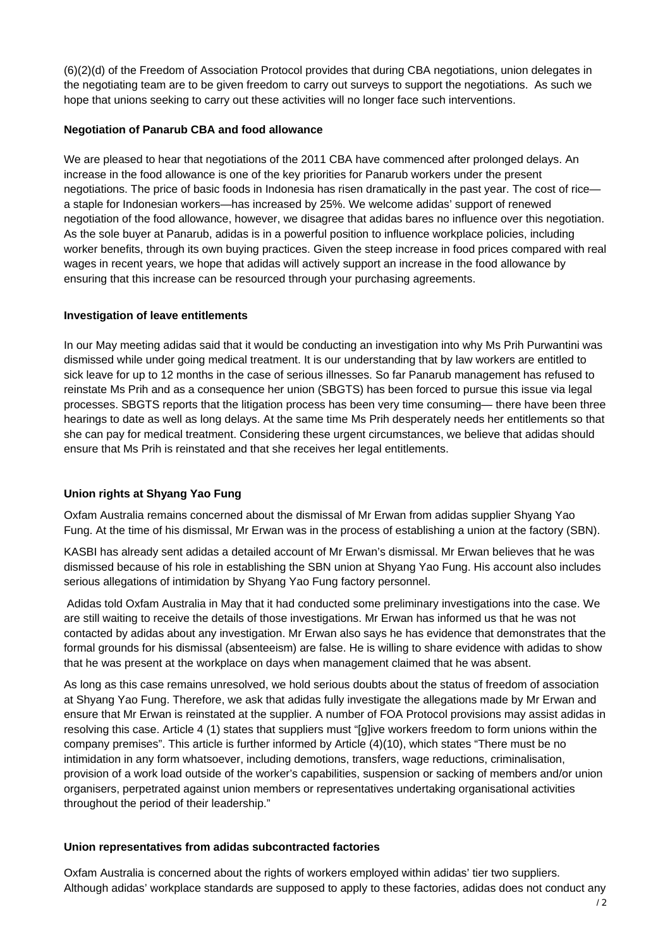(6)(2)(d) of the Freedom of Association Protocol provides that during CBA negotiations, union delegates in the negotiating team are to be given freedom to carry out surveys to support the negotiations. As such we hope that unions seeking to carry out these activities will no longer face such interventions.

### **Negotiation of Panarub CBA and food allowance**

We are pleased to hear that negotiations of the 2011 CBA have commenced after prolonged delays. An increase in the food allowance is one of the key priorities for Panarub workers under the present negotiations. The price of basic foods in Indonesia has risen dramatically in the past year. The cost of rice a staple for Indonesian workers—has increased by 25%. We welcome adidas' support of renewed negotiation of the food allowance, however, we disagree that adidas bares no influence over this negotiation. As the sole buyer at Panarub, adidas is in a powerful position to influence workplace policies, including worker benefits, through its own buying practices. Given the steep increase in food prices compared with real wages in recent years, we hope that adidas will actively support an increase in the food allowance by ensuring that this increase can be resourced through your purchasing agreements.

## **Investigation of leave entitlements**

In our May meeting adidas said that it would be conducting an investigation into why Ms Prih Purwantini was dismissed while under going medical treatment. It is our understanding that by law workers are entitled to sick leave for up to 12 months in the case of serious illnesses. So far Panarub management has refused to reinstate Ms Prih and as a consequence her union (SBGTS) has been forced to pursue this issue via legal processes. SBGTS reports that the litigation process has been very time consuming— there have been three hearings to date as well as long delays. At the same time Ms Prih desperately needs her entitlements so that she can pay for medical treatment. Considering these urgent circumstances, we believe that adidas should ensure that Ms Prih is reinstated and that she receives her legal entitlements.

# **Union rights at Shyang Yao Fung**

Oxfam Australia remains concerned about the dismissal of Mr Erwan from adidas supplier Shyang Yao Fung. At the time of his dismissal, Mr Erwan was in the process of establishing a union at the factory (SBN).

KASBI has already sent adidas a detailed account of Mr Erwan's dismissal. Mr Erwan believes that he was dismissed because of his role in establishing the SBN union at Shyang Yao Fung. His account also includes serious allegations of intimidation by Shyang Yao Fung factory personnel.

 Adidas told Oxfam Australia in May that it had conducted some preliminary investigations into the case. We are still waiting to receive the details of those investigations. Mr Erwan has informed us that he was not contacted by adidas about any investigation. Mr Erwan also says he has evidence that demonstrates that the formal grounds for his dismissal (absenteeism) are false. He is willing to share evidence with adidas to show that he was present at the workplace on days when management claimed that he was absent.

As long as this case remains unresolved, we hold serious doubts about the status of freedom of association at Shyang Yao Fung. Therefore, we ask that adidas fully investigate the allegations made by Mr Erwan and ensure that Mr Erwan is reinstated at the supplier. A number of FOA Protocol provisions may assist adidas in resolving this case. Article 4 (1) states that suppliers must "[g]ive workers freedom to form unions within the company premises". This article is further informed by Article (4)(10), which states "There must be no intimidation in any form whatsoever, including demotions, transfers, wage reductions, criminalisation, provision of a work load outside of the worker's capabilities, suspension or sacking of members and/or union organisers, perpetrated against union members or representatives undertaking organisational activities throughout the period of their leadership."

#### **Union representatives from adidas subcontracted factories**

Oxfam Australia is concerned about the rights of workers employed within adidas' tier two suppliers. Although adidas' workplace standards are supposed to apply to these factories, adidas does not conduct any